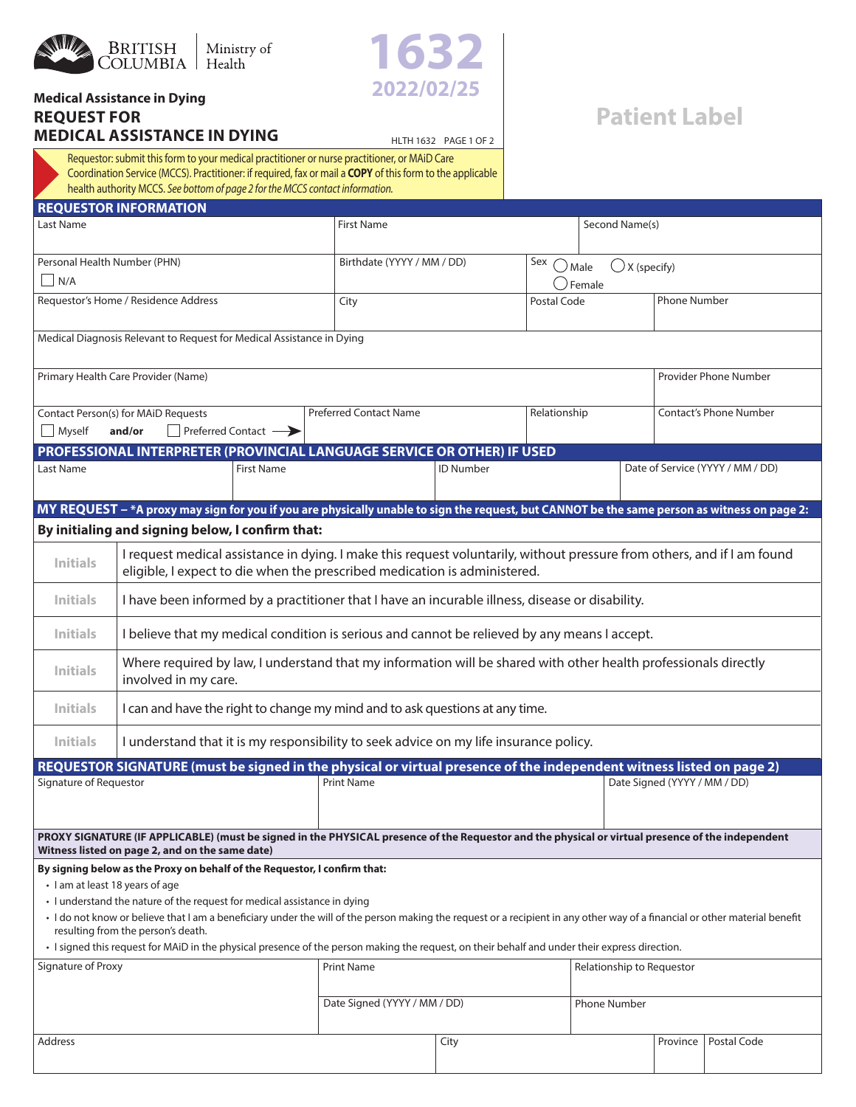



## **Medical Assistance in Dying REQUEST FOR MEDICAL ASSISTANCE IN DYING**

## **Patient Label**

HLTH 1632 PAGE 1 OF 2 Requestor: submit this form to your medical practitioner or nurse practitioner, or MAiD Care Coordination Service (MCCS). Practitioner: if required, fax or mail a **COPY** of this form to the applicable health authority MCCS. *See bottom of page 2 for the MCCS contact information.*

| <b>REQUESTOR INFORMATION</b>                                                                                                                                                                                                                            |                                                                                                                                                                                                      |                     |                                                                                                                                                |                              |                              |                                                          |          |                                  |  |
|---------------------------------------------------------------------------------------------------------------------------------------------------------------------------------------------------------------------------------------------------------|------------------------------------------------------------------------------------------------------------------------------------------------------------------------------------------------------|---------------------|------------------------------------------------------------------------------------------------------------------------------------------------|------------------------------|------------------------------|----------------------------------------------------------|----------|----------------------------------|--|
| Last Name                                                                                                                                                                                                                                               |                                                                                                                                                                                                      |                     |                                                                                                                                                | <b>First Name</b>            |                              | Second Name(s)                                           |          |                                  |  |
| Personal Health Number (PHN)<br>N/A                                                                                                                                                                                                                     |                                                                                                                                                                                                      |                     |                                                                                                                                                | Birthdate (YYYY / MM / DD)   |                              | Sex<br>$\bigcup X$ (specify)<br>$\bigcup$ Male<br>Female |          |                                  |  |
| Requestor's Home / Residence Address                                                                                                                                                                                                                    |                                                                                                                                                                                                      |                     | City                                                                                                                                           |                              |                              | Postal Code                                              |          | <b>Phone Number</b>              |  |
|                                                                                                                                                                                                                                                         | Medical Diagnosis Relevant to Request for Medical Assistance in Dying                                                                                                                                |                     |                                                                                                                                                |                              |                              |                                                          |          |                                  |  |
| Primary Health Care Provider (Name)                                                                                                                                                                                                                     |                                                                                                                                                                                                      |                     |                                                                                                                                                |                              |                              |                                                          |          | Provider Phone Number            |  |
| Myself                                                                                                                                                                                                                                                  | Contact Person(s) for MAiD Requests<br>and/or                                                                                                                                                        | Preferred Contact – | <b>Preferred Contact Name</b>                                                                                                                  |                              | Relationship                 |                                                          |          | <b>Contact's Phone Number</b>    |  |
| Last Name                                                                                                                                                                                                                                               |                                                                                                                                                                                                      | <b>First Name</b>   | PROFESSIONAL INTERPRETER (PROVINCIAL LANGUAGE SERVICE OR OTHER) IF USED                                                                        | <b>ID Number</b>             |                              |                                                          |          | Date of Service (YYYY / MM / DD) |  |
|                                                                                                                                                                                                                                                         |                                                                                                                                                                                                      |                     |                                                                                                                                                |                              |                              |                                                          |          |                                  |  |
|                                                                                                                                                                                                                                                         | By initialing and signing below, I confirm that:                                                                                                                                                     |                     | MY REQUEST - *A proxy may sign for you if you are physically unable to sign the request, but CANNOT be the same person as witness on page 2:   |                              |                              |                                                          |          |                                  |  |
| <b>Initials</b>                                                                                                                                                                                                                                         | I request medical assistance in dying. I make this request voluntarily, without pressure from others, and if I am found<br>eligible, I expect to die when the prescribed medication is administered. |                     |                                                                                                                                                |                              |                              |                                                          |          |                                  |  |
| <b>Initials</b>                                                                                                                                                                                                                                         | I have been informed by a practitioner that I have an incurable illness, disease or disability.                                                                                                      |                     |                                                                                                                                                |                              |                              |                                                          |          |                                  |  |
| <b>Initials</b>                                                                                                                                                                                                                                         | I believe that my medical condition is serious and cannot be relieved by any means I accept.                                                                                                         |                     |                                                                                                                                                |                              |                              |                                                          |          |                                  |  |
| <b>Initials</b>                                                                                                                                                                                                                                         | Where required by law, I understand that my information will be shared with other health professionals directly<br>involved in my care.                                                              |                     |                                                                                                                                                |                              |                              |                                                          |          |                                  |  |
| <b>Initials</b>                                                                                                                                                                                                                                         | I can and have the right to change my mind and to ask questions at any time.                                                                                                                         |                     |                                                                                                                                                |                              |                              |                                                          |          |                                  |  |
| <b>Initials</b>                                                                                                                                                                                                                                         | I understand that it is my responsibility to seek advice on my life insurance policy.                                                                                                                |                     |                                                                                                                                                |                              |                              |                                                          |          |                                  |  |
| REQUESTOR SIGNATURE (must be signed in the physical or virtual presence of the independent witness listed on page 2)                                                                                                                                    |                                                                                                                                                                                                      |                     |                                                                                                                                                |                              |                              |                                                          |          |                                  |  |
| Signature of Requestor                                                                                                                                                                                                                                  |                                                                                                                                                                                                      | <b>Print Name</b>   |                                                                                                                                                |                              | Date Signed (YYYY / MM / DD) |                                                          |          |                                  |  |
| PROXY SIGNATURE (IF APPLICABLE) (must be signed in the PHYSICAL presence of the Requestor and the physical or virtual presence of the independent<br>Witness listed on page 2, and on the same date)                                                    |                                                                                                                                                                                                      |                     |                                                                                                                                                |                              |                              |                                                          |          |                                  |  |
| By signing below as the Proxy on behalf of the Requestor, I confirm that:<br>• I am at least 18 years of age                                                                                                                                            |                                                                                                                                                                                                      |                     |                                                                                                                                                |                              |                              |                                                          |          |                                  |  |
| • I understand the nature of the request for medical assistance in dying<br>· I do not know or believe that I am a beneficiary under the will of the person making the request or a recipient in any other way of a financial or other material benefit |                                                                                                                                                                                                      |                     |                                                                                                                                                |                              |                              |                                                          |          |                                  |  |
|                                                                                                                                                                                                                                                         | resulting from the person's death.                                                                                                                                                                   |                     | · I signed this request for MAiD in the physical presence of the person making the request, on their behalf and under their express direction. |                              |                              |                                                          |          |                                  |  |
| Signature of Proxy                                                                                                                                                                                                                                      |                                                                                                                                                                                                      |                     | <b>Print Name</b>                                                                                                                              |                              |                              | Relationship to Requestor                                |          |                                  |  |
|                                                                                                                                                                                                                                                         |                                                                                                                                                                                                      |                     |                                                                                                                                                | Date Signed (YYYY / MM / DD) |                              | Phone Number                                             |          |                                  |  |
| <b>Address</b>                                                                                                                                                                                                                                          |                                                                                                                                                                                                      |                     |                                                                                                                                                | City                         |                              |                                                          | Province | Postal Code                      |  |